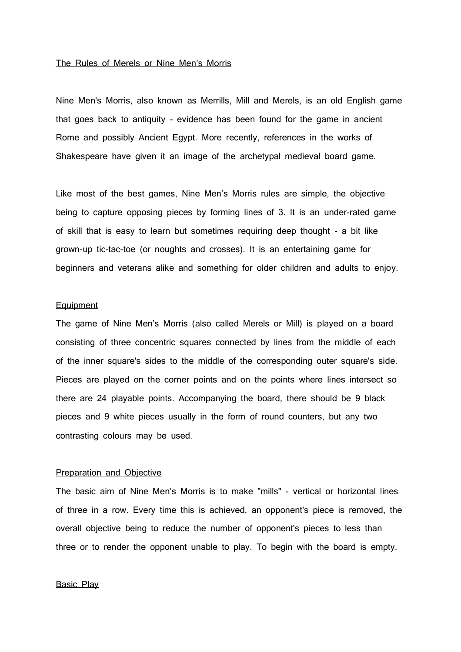#### The Rules of Merels or Nine Men's Morris

Nine Men's Morris, also known as Merrills, Mill and Merels, is an old English game that goes back to antiquity - evidence has been found for the game in ancient Rome and possibly Ancient Egypt. More recently, references in the works of Shakespeare have given it an image of the archetypal medieval board game.

Like most of the best games, Nine Men's Morris rules are simple, the objective being to capture opposing pieces by forming lines of 3. It is an under-rated game of skill that is easy to learn but sometimes requiring deep thought - a bit like grown-up tic-tac-toe (or noughts and crosses). It is an entertaining game for beginners and veterans alike and something for older children and adults to enjoy.

# **Equipment**

The game of Nine Men's Morris (also called Merels or Mill) is played on a board consisting of three concentric squares connected by lines from the middle of each of the inner square's sides to the middle of the corresponding outer square's side. Pieces are played on the corner points and on the points where lines intersect so there are 24 playable points. Accompanying the board, there should be 9 black pieces and 9 white pieces usually in the form of round counters, but any two contrasting colours may be used.

# Preparation and Objective

The basic aim of Nine Men's Morris is to make "mills" - vertical or horizontal lines of three in a row. Every time this is achieved, an opponent's piece is removed, the overall objective being to reduce the number of opponent's pieces to less than three or to render the opponent unable to play. To begin with the board is empty.

# Basic Play